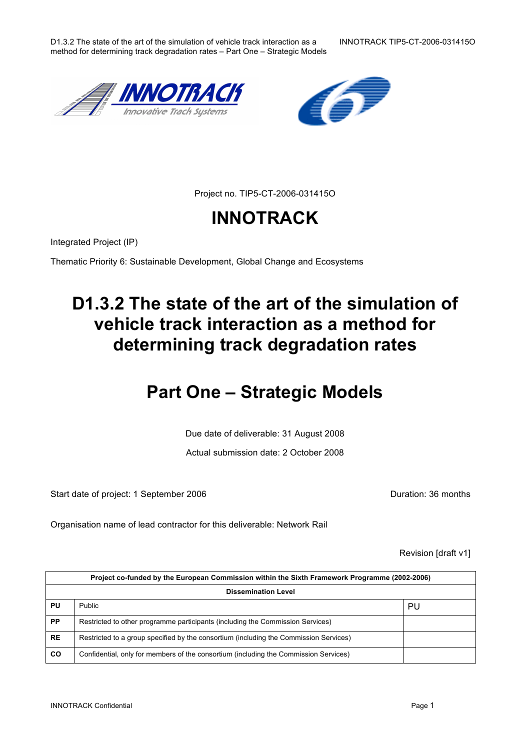D1.3.2 The state of the art of the simulation of vehicle track interaction as a INNOTRACK TIP5-CT-2006-031415O method for determining track degradation rates – Part One – Strategic Models

Project no. TIP5-CT-2006-031415O

# **INNOTRACK**

Integrated Project (IP)

Thematic Priority 6: Sustainable Development, Global Change and Ecosystems

# **D1.3.2 The state of the art of the simulation of vehicle track interaction as a method for determining track degradation rates**

# **Part One – Strategic Models**

Due date of deliverable: 31 August 2008

Actual submission date: 2 October 2008

Start date of project: 1 September 2006 **Duration: 36 months** 

Organisation name of lead contractor for this deliverable: Network Rail

Revision [draft v1]

| Project co-funded by the European Commission within the Sixth Framework Programme (2002-2006) |                                                                                       |    |  |
|-----------------------------------------------------------------------------------------------|---------------------------------------------------------------------------------------|----|--|
| <b>Dissemination Level</b>                                                                    |                                                                                       |    |  |
| PU                                                                                            | Public                                                                                | PU |  |
| <b>PP</b>                                                                                     | Restricted to other programme participants (including the Commission Services)        |    |  |
| <b>RE</b>                                                                                     | Restricted to a group specified by the consortium (including the Commission Services) |    |  |
| <b>CO</b>                                                                                     | Confidential, only for members of the consortium (including the Commission Services)  |    |  |



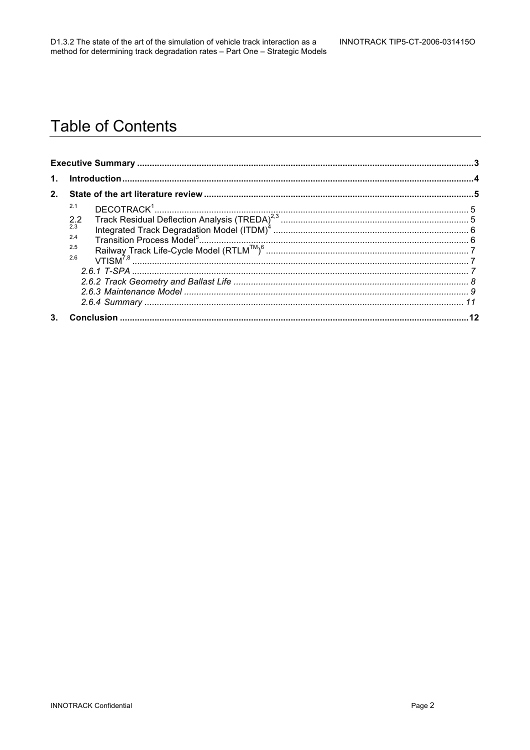# **Table of Contents**

| $\mathbf{1}$ . |                                        |  |  |
|----------------|----------------------------------------|--|--|
| 2 <sub>1</sub> |                                        |  |  |
|                | 2.1<br>2.2<br>2.3<br>2.4<br>2.5<br>2.6 |  |  |
| 3.             |                                        |  |  |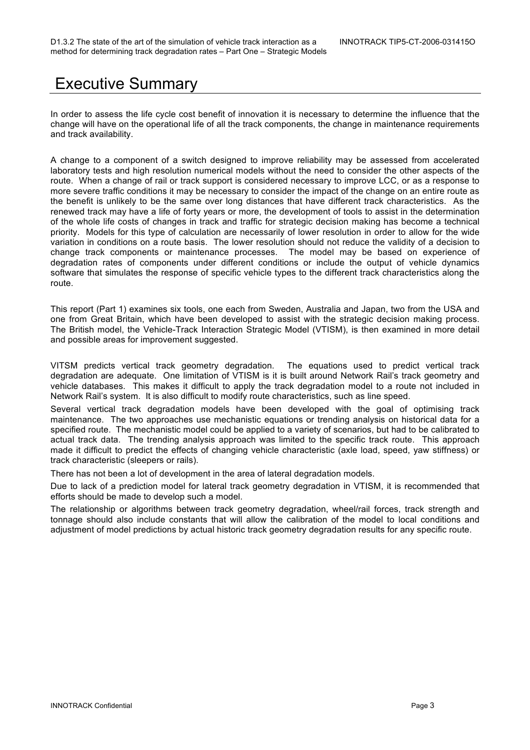## Executive Summary

In order to assess the life cycle cost benefit of innovation it is necessary to determine the influence that the change will have on the operational life of all the track components, the change in maintenance requirements and track availability.

A change to a component of a switch designed to improve reliability may be assessed from accelerated laboratory tests and high resolution numerical models without the need to consider the other aspects of the route. When a change of rail or track support is considered necessary to improve LCC, or as a response to more severe traffic conditions it may be necessary to consider the impact of the change on an entire route as the benefit is unlikely to be the same over long distances that have different track characteristics. As the renewed track may have a life of forty years or more, the development of tools to assist in the determination of the whole life costs of changes in track and traffic for strategic decision making has become a technical priority. Models for this type of calculation are necessarily of lower resolution in order to allow for the wide variation in conditions on a route basis. The lower resolution should not reduce the validity of a decision to change track components or maintenance processes. The model may be based on experience of degradation rates of components under different conditions or include the output of vehicle dynamics software that simulates the response of specific vehicle types to the different track characteristics along the route.

This report (Part 1) examines six tools, one each from Sweden, Australia and Japan, two from the USA and one from Great Britain, which have been developed to assist with the strategic decision making process. The British model, the Vehicle-Track Interaction Strategic Model (VTISM), is then examined in more detail and possible areas for improvement suggested.

VITSM predicts vertical track geometry degradation. The equations used to predict vertical track degradation are adequate. One limitation of VTISM is it is built around Network Rail's track geometry and vehicle databases. This makes it difficult to apply the track degradation model to a route not included in Network Rail's system. It is also difficult to modify route characteristics, such as line speed.

Several vertical track degradation models have been developed with the goal of optimising track maintenance. The two approaches use mechanistic equations or trending analysis on historical data for a specified route. The mechanistic model could be applied to a variety of scenarios, but had to be calibrated to actual track data. The trending analysis approach was limited to the specific track route. This approach made it difficult to predict the effects of changing vehicle characteristic (axle load, speed, yaw stiffness) or track characteristic (sleepers or rails).

There has not been a lot of development in the area of lateral degradation models.

Due to lack of a prediction model for lateral track geometry degradation in VTISM, it is recommended that efforts should be made to develop such a model.

The relationship or algorithms between track geometry degradation, wheel/rail forces, track strength and tonnage should also include constants that will allow the calibration of the model to local conditions and adjustment of model predictions by actual historic track geometry degradation results for any specific route.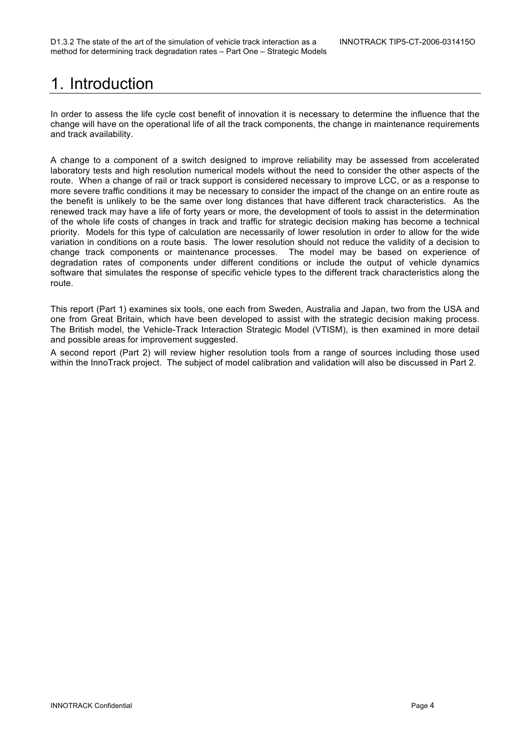# 1. Introduction

In order to assess the life cycle cost benefit of innovation it is necessary to determine the influence that the change will have on the operational life of all the track components, the change in maintenance requirements and track availability.

A change to a component of a switch designed to improve reliability may be assessed from accelerated laboratory tests and high resolution numerical models without the need to consider the other aspects of the route. When a change of rail or track support is considered necessary to improve LCC, or as a response to more severe traffic conditions it may be necessary to consider the impact of the change on an entire route as the benefit is unlikely to be the same over long distances that have different track characteristics. As the renewed track may have a life of forty years or more, the development of tools to assist in the determination of the whole life costs of changes in track and traffic for strategic decision making has become a technical priority. Models for this type of calculation are necessarily of lower resolution in order to allow for the wide variation in conditions on a route basis. The lower resolution should not reduce the validity of a decision to change track components or maintenance processes. The model may be based on experience of degradation rates of components under different conditions or include the output of vehicle dynamics software that simulates the response of specific vehicle types to the different track characteristics along the route.

This report (Part 1) examines six tools, one each from Sweden, Australia and Japan, two from the USA and one from Great Britain, which have been developed to assist with the strategic decision making process. The British model, the Vehicle-Track Interaction Strategic Model (VTISM), is then examined in more detail and possible areas for improvement suggested.

A second report (Part 2) will review higher resolution tools from a range of sources including those used within the InnoTrack project. The subject of model calibration and validation will also be discussed in Part 2.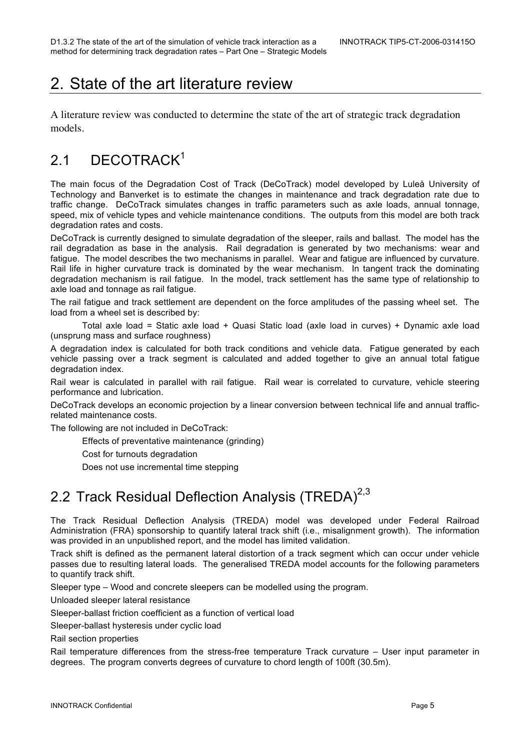# 2. State of the art literature review

A literature review was conducted to determine the state of the art of strategic track degradation models.

## 2.1 DECOTRACK<sup>1</sup>

The main focus of the Degradation Cost of Track (DeCoTrack) model developed by Luleå University of Technology and Banverket is to estimate the changes in maintenance and track degradation rate due to traffic change. DeCoTrack simulates changes in traffic parameters such as axle loads, annual tonnage, speed, mix of vehicle types and vehicle maintenance conditions. The outputs from this model are both track degradation rates and costs.

DeCoTrack is currently designed to simulate degradation of the sleeper, rails and ballast. The model has the rail degradation as base in the analysis. Rail degradation is generated by two mechanisms: wear and fatigue. The model describes the two mechanisms in parallel. Wear and fatigue are influenced by curvature. Rail life in higher curvature track is dominated by the wear mechanism. In tangent track the dominating degradation mechanism is rail fatigue. In the model, track settlement has the same type of relationship to axle load and tonnage as rail fatigue.

The rail fatigue and track settlement are dependent on the force amplitudes of the passing wheel set. The load from a wheel set is described by:

Total axle load = Static axle load + Quasi Static load (axle load in curves) + Dynamic axle load (unsprung mass and surface roughness)

A degradation index is calculated for both track conditions and vehicle data. Fatigue generated by each vehicle passing over a track segment is calculated and added together to give an annual total fatigue degradation index.

Rail wear is calculated in parallel with rail fatigue. Rail wear is correlated to curvature, vehicle steering performance and lubrication.

DeCoTrack develops an economic projection by a linear conversion between technical life and annual trafficrelated maintenance costs.

The following are not included in DeCoTrack:

Effects of preventative maintenance (grinding)

Cost for turnouts degradation

Does not use incremental time stepping

## 2.2 Track Residual Deflection Analysis (TREDA)<sup>2,3</sup>

The Track Residual Deflection Analysis (TREDA) model was developed under Federal Railroad Administration (FRA) sponsorship to quantify lateral track shift (i.e., misalignment growth). The information was provided in an unpublished report, and the model has limited validation.

Track shift is defined as the permanent lateral distortion of a track segment which can occur under vehicle passes due to resulting lateral loads. The generalised TREDA model accounts for the following parameters to quantify track shift.

Sleeper type – Wood and concrete sleepers can be modelled using the program.

Unloaded sleeper lateral resistance

Sleeper-ballast friction coefficient as a function of vertical load

Sleeper-ballast hysteresis under cyclic load

Rail section properties

Rail temperature differences from the stress-free temperature Track curvature – User input parameter in degrees. The program converts degrees of curvature to chord length of 100ft (30.5m).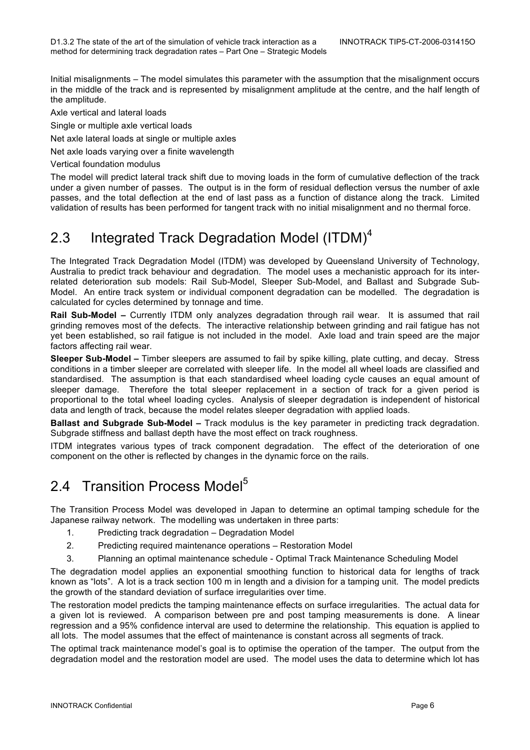Initial misalignments – The model simulates this parameter with the assumption that the misalignment occurs in the middle of the track and is represented by misalignment amplitude at the centre, and the half length of the amplitude.

Axle vertical and lateral loads

Single or multiple axle vertical loads

Net axle lateral loads at single or multiple axles

Net axle loads varying over a finite wavelength

Vertical foundation modulus

The model will predict lateral track shift due to moving loads in the form of cumulative deflection of the track under a given number of passes. The output is in the form of residual deflection versus the number of axle passes, and the total deflection at the end of last pass as a function of distance along the track. Limited validation of results has been performed for tangent track with no initial misalignment and no thermal force.

### 2.3 Integrated Track Degradation Model (ITDM)<sup>4</sup>

The Integrated Track Degradation Model (ITDM) was developed by Queensland University of Technology, Australia to predict track behaviour and degradation. The model uses a mechanistic approach for its interrelated deterioration sub models: Rail Sub-Model, Sleeper Sub-Model, and Ballast and Subgrade Sub-Model. An entire track system or individual component degradation can be modelled. The degradation is calculated for cycles determined by tonnage and time.

**Rail Sub-Model –** Currently ITDM only analyzes degradation through rail wear. It is assumed that rail grinding removes most of the defects. The interactive relationship between grinding and rail fatigue has not yet been established, so rail fatigue is not included in the model. Axle load and train speed are the major factors affecting rail wear.

**Sleeper Sub-Model –** Timber sleepers are assumed to fail by spike killing, plate cutting, and decay. Stress conditions in a timber sleeper are correlated with sleeper life. In the model all wheel loads are classified and standardised. The assumption is that each standardised wheel loading cycle causes an equal amount of sleeper damage. Therefore the total sleeper replacement in a section of track for a given period is proportional to the total wheel loading cycles. Analysis of sleeper degradation is independent of historical data and length of track, because the model relates sleeper degradation with applied loads.

**Ballast and Subgrade Sub-Model –** Track modulus is the key parameter in predicting track degradation. Subgrade stiffness and ballast depth have the most effect on track roughness.

ITDM integrates various types of track component degradation. The effect of the deterioration of one component on the other is reflected by changes in the dynamic force on the rails.

### 2.4 Transition Process Model<sup>5</sup>

The Transition Process Model was developed in Japan to determine an optimal tamping schedule for the Japanese railway network. The modelling was undertaken in three parts:

- 1. Predicting track degradation Degradation Model
- 2. Predicting required maintenance operations Restoration Model
- 3. Planning an optimal maintenance schedule Optimal Track Maintenance Scheduling Model

The degradation model applies an exponential smoothing function to historical data for lengths of track known as "lots". A lot is a track section 100 m in length and a division for a tamping unit. The model predicts the growth of the standard deviation of surface irregularities over time.

The restoration model predicts the tamping maintenance effects on surface irregularities. The actual data for a given lot is reviewed. A comparison between pre and post tamping measurements is done. A linear regression and a 95% confidence interval are used to determine the relationship. This equation is applied to all lots. The model assumes that the effect of maintenance is constant across all segments of track.

The optimal track maintenance model's goal is to optimise the operation of the tamper. The output from the degradation model and the restoration model are used. The model uses the data to determine which lot has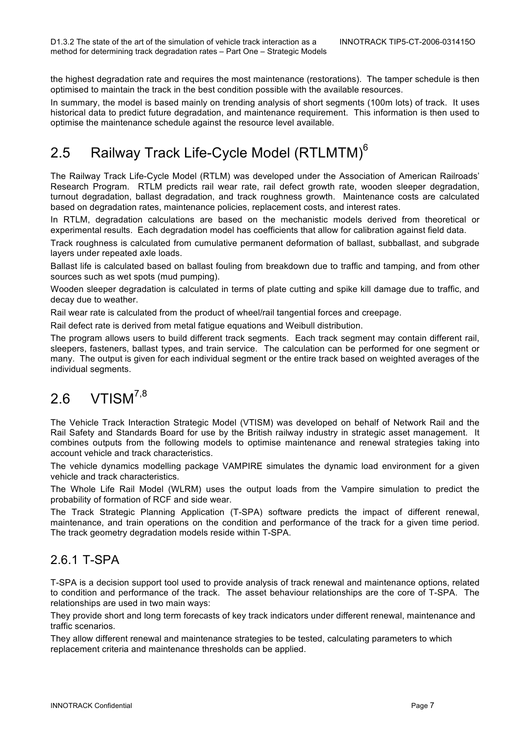the highest degradation rate and requires the most maintenance (restorations). The tamper schedule is then optimised to maintain the track in the best condition possible with the available resources.

In summary, the model is based mainly on trending analysis of short segments (100m lots) of track. It uses historical data to predict future degradation, and maintenance requirement. This information is then used to optimise the maintenance schedule against the resource level available.

### 2.5 Railway Track Life-Cycle Model (RTLMTM)<sup>6</sup>

The Railway Track Life-Cycle Model (RTLM) was developed under the Association of American Railroads' Research Program. RTLM predicts rail wear rate, rail defect growth rate, wooden sleeper degradation, turnout degradation, ballast degradation, and track roughness growth. Maintenance costs are calculated based on degradation rates, maintenance policies, replacement costs, and interest rates.

In RTLM, degradation calculations are based on the mechanistic models derived from theoretical or experimental results. Each degradation model has coefficients that allow for calibration against field data.

Track roughness is calculated from cumulative permanent deformation of ballast, subballast, and subgrade layers under repeated axle loads.

Ballast life is calculated based on ballast fouling from breakdown due to traffic and tamping, and from other sources such as wet spots (mud pumping).

Wooden sleeper degradation is calculated in terms of plate cutting and spike kill damage due to traffic, and decay due to weather.

Rail wear rate is calculated from the product of wheel/rail tangential forces and creepage.

Rail defect rate is derived from metal fatigue equations and Weibull distribution.

The program allows users to build different track segments. Each track segment may contain different rail, sleepers, fasteners, ballast types, and train service. The calculation can be performed for one segment or many. The output is given for each individual segment or the entire track based on weighted averages of the individual segments.

### 2.6 VTISM<sup>7,8</sup>

The Vehicle Track Interaction Strategic Model (VTISM) was developed on behalf of Network Rail and the Rail Safety and Standards Board for use by the British railway industry in strategic asset management. It combines outputs from the following models to optimise maintenance and renewal strategies taking into account vehicle and track characteristics.

The vehicle dynamics modelling package VAMPIRE simulates the dynamic load environment for a given vehicle and track characteristics.

The Whole Life Rail Model (WLRM) uses the output loads from the Vampire simulation to predict the probability of formation of RCF and side wear.

The Track Strategic Planning Application (T-SPA) software predicts the impact of different renewal, maintenance, and train operations on the condition and performance of the track for a given time period. The track geometry degradation models reside within T-SPA.

#### 2.6.1 T-SPA

T-SPA is a decision support tool used to provide analysis of track renewal and maintenance options, related to condition and performance of the track. The asset behaviour relationships are the core of T-SPA. The relationships are used in two main ways:

They provide short and long term forecasts of key track indicators under different renewal, maintenance and traffic scenarios.

They allow different renewal and maintenance strategies to be tested, calculating parameters to which replacement criteria and maintenance thresholds can be applied.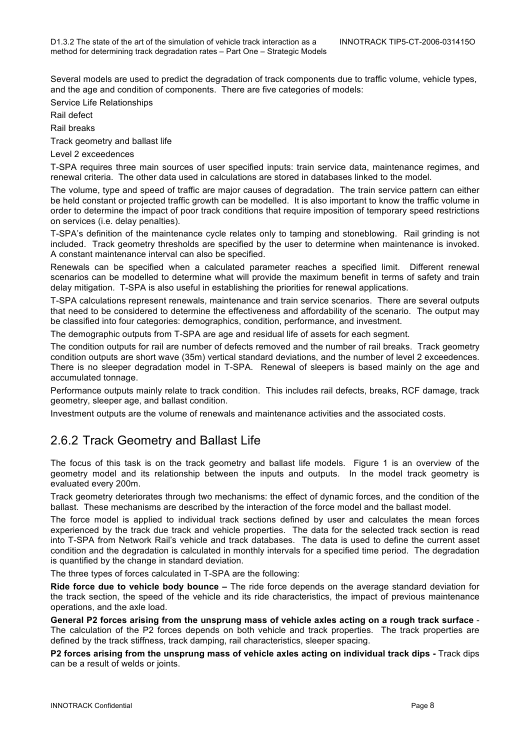Several models are used to predict the degradation of track components due to traffic volume, vehicle types, and the age and condition of components. There are five categories of models:

Service Life Relationships

Rail defect

Rail breaks

Track geometry and ballast life

Level 2 exceedences

T-SPA requires three main sources of user specified inputs: train service data, maintenance regimes, and renewal criteria. The other data used in calculations are stored in databases linked to the model.

The volume, type and speed of traffic are major causes of degradation. The train service pattern can either be held constant or projected traffic growth can be modelled. It is also important to know the traffic volume in order to determine the impact of poor track conditions that require imposition of temporary speed restrictions on services (i.e. delay penalties).

T-SPA's definition of the maintenance cycle relates only to tamping and stoneblowing. Rail grinding is not included. Track geometry thresholds are specified by the user to determine when maintenance is invoked. A constant maintenance interval can also be specified.

Renewals can be specified when a calculated parameter reaches a specified limit. Different renewal scenarios can be modelled to determine what will provide the maximum benefit in terms of safety and train delay mitigation. T-SPA is also useful in establishing the priorities for renewal applications.

T-SPA calculations represent renewals, maintenance and train service scenarios. There are several outputs that need to be considered to determine the effectiveness and affordability of the scenario. The output may be classified into four categories: demographics, condition, performance, and investment.

The demographic outputs from T-SPA are age and residual life of assets for each segment.

The condition outputs for rail are number of defects removed and the number of rail breaks. Track geometry condition outputs are short wave (35m) vertical standard deviations, and the number of level 2 exceedences. There is no sleeper degradation model in T-SPA. Renewal of sleepers is based mainly on the age and accumulated tonnage.

Performance outputs mainly relate to track condition. This includes rail defects, breaks, RCF damage, track geometry, sleeper age, and ballast condition.

Investment outputs are the volume of renewals and maintenance activities and the associated costs.

### 2.6.2 Track Geometry and Ballast Life

The focus of this task is on the track geometry and ballast life models. Figure 1 is an overview of the geometry model and its relationship between the inputs and outputs. In the model track geometry is evaluated every 200m.

Track geometry deteriorates through two mechanisms: the effect of dynamic forces, and the condition of the ballast. These mechanisms are described by the interaction of the force model and the ballast model.

The force model is applied to individual track sections defined by user and calculates the mean forces experienced by the track due track and vehicle properties. The data for the selected track section is read into T-SPA from Network Rail's vehicle and track databases. The data is used to define the current asset condition and the degradation is calculated in monthly intervals for a specified time period. The degradation is quantified by the change in standard deviation.

The three types of forces calculated in T-SPA are the following:

**Ride force due to vehicle body bounce –** The ride force depends on the average standard deviation for the track section, the speed of the vehicle and its ride characteristics, the impact of previous maintenance operations, and the axle load.

**General P2 forces arising from the unsprung mass of vehicle axles acting on a rough track surface** - The calculation of the P2 forces depends on both vehicle and track properties. The track properties are defined by the track stiffness, track damping, rail characteristics, sleeper spacing.

**P2 forces arising from the unsprung mass of vehicle axles acting on individual track dips -** Track dips can be a result of welds or joints.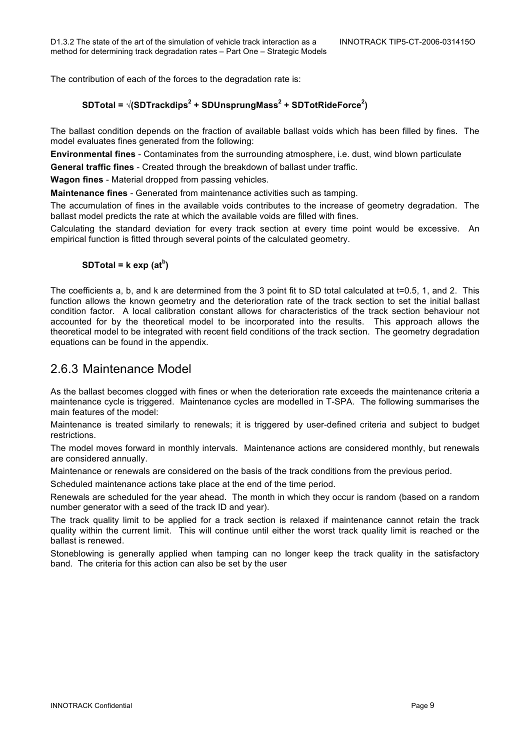The contribution of each of the forces to the degradation rate is:

#### **SDTotal = √(SDTrackdips<sup>2</sup> + SDUnsprungMass<sup>2</sup> + SDTotRideForce<sup>2</sup> )**

The ballast condition depends on the fraction of available ballast voids which has been filled by fines. The model evaluates fines generated from the following:

**Environmental fines** - Contaminates from the surrounding atmosphere, i.e. dust, wind blown particulate

**General traffic fines** - Created through the breakdown of ballast under traffic.

**Wagon fines** - Material dropped from passing vehicles.

**Maintenance fines** - Generated from maintenance activities such as tamping.

The accumulation of fines in the available voids contributes to the increase of geometry degradation. The ballast model predicts the rate at which the available voids are filled with fines.

Calculating the standard deviation for every track section at every time point would be excessive. An empirical function is fitted through several points of the calculated geometry.

#### **SDTotal = k exp (at<sup>b</sup> )**

The coefficients a, b, and k are determined from the 3 point fit to SD total calculated at t=0.5, 1, and 2. This function allows the known geometry and the deterioration rate of the track section to set the initial ballast condition factor. A local calibration constant allows for characteristics of the track section behaviour not accounted for by the theoretical model to be incorporated into the results. This approach allows the theoretical model to be integrated with recent field conditions of the track section. The geometry degradation equations can be found in the appendix.

#### 2.6.3 Maintenance Model

As the ballast becomes clogged with fines or when the deterioration rate exceeds the maintenance criteria a maintenance cycle is triggered. Maintenance cycles are modelled in T-SPA. The following summarises the main features of the model:

Maintenance is treated similarly to renewals; it is triggered by user-defined criteria and subject to budget restrictions.

The model moves forward in monthly intervals. Maintenance actions are considered monthly, but renewals are considered annually.

Maintenance or renewals are considered on the basis of the track conditions from the previous period.

Scheduled maintenance actions take place at the end of the time period.

Renewals are scheduled for the year ahead. The month in which they occur is random (based on a random number generator with a seed of the track ID and year).

The track quality limit to be applied for a track section is relaxed if maintenance cannot retain the track quality within the current limit. This will continue until either the worst track quality limit is reached or the ballast is renewed.

Stoneblowing is generally applied when tamping can no longer keep the track quality in the satisfactory band. The criteria for this action can also be set by the user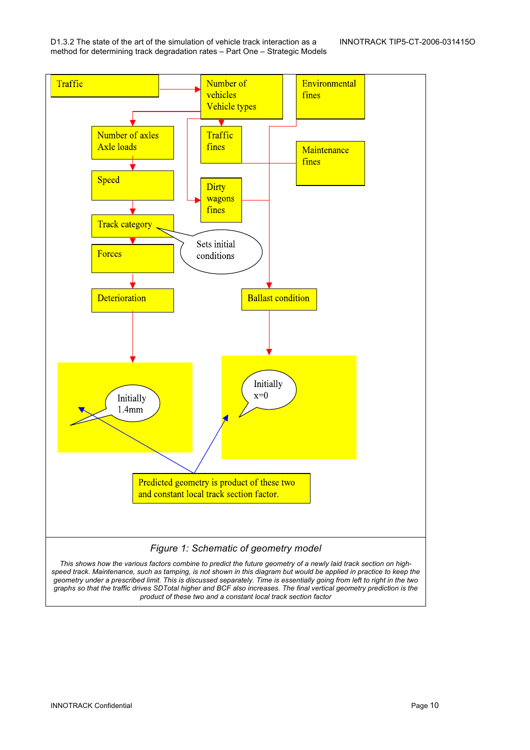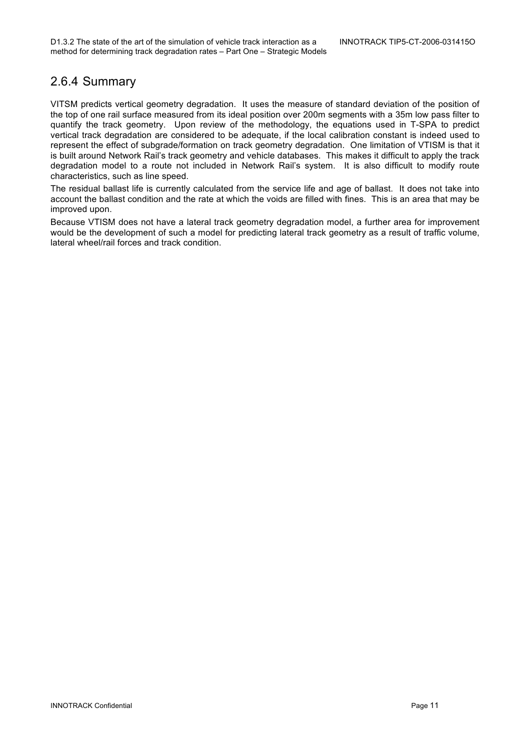### 2.6.4 Summary

VITSM predicts vertical geometry degradation. It uses the measure of standard deviation of the position of the top of one rail surface measured from its ideal position over 200m segments with a 35m low pass filter to quantify the track geometry. Upon review of the methodology, the equations used in T-SPA to predict vertical track degradation are considered to be adequate, if the local calibration constant is indeed used to represent the effect of subgrade/formation on track geometry degradation. One limitation of VTISM is that it is built around Network Rail's track geometry and vehicle databases. This makes it difficult to apply the track degradation model to a route not included in Network Rail's system. It is also difficult to modify route characteristics, such as line speed.

The residual ballast life is currently calculated from the service life and age of ballast. It does not take into account the ballast condition and the rate at which the voids are filled with fines. This is an area that may be improved upon.

Because VTISM does not have a lateral track geometry degradation model, a further area for improvement would be the development of such a model for predicting lateral track geometry as a result of traffic volume, lateral wheel/rail forces and track condition.